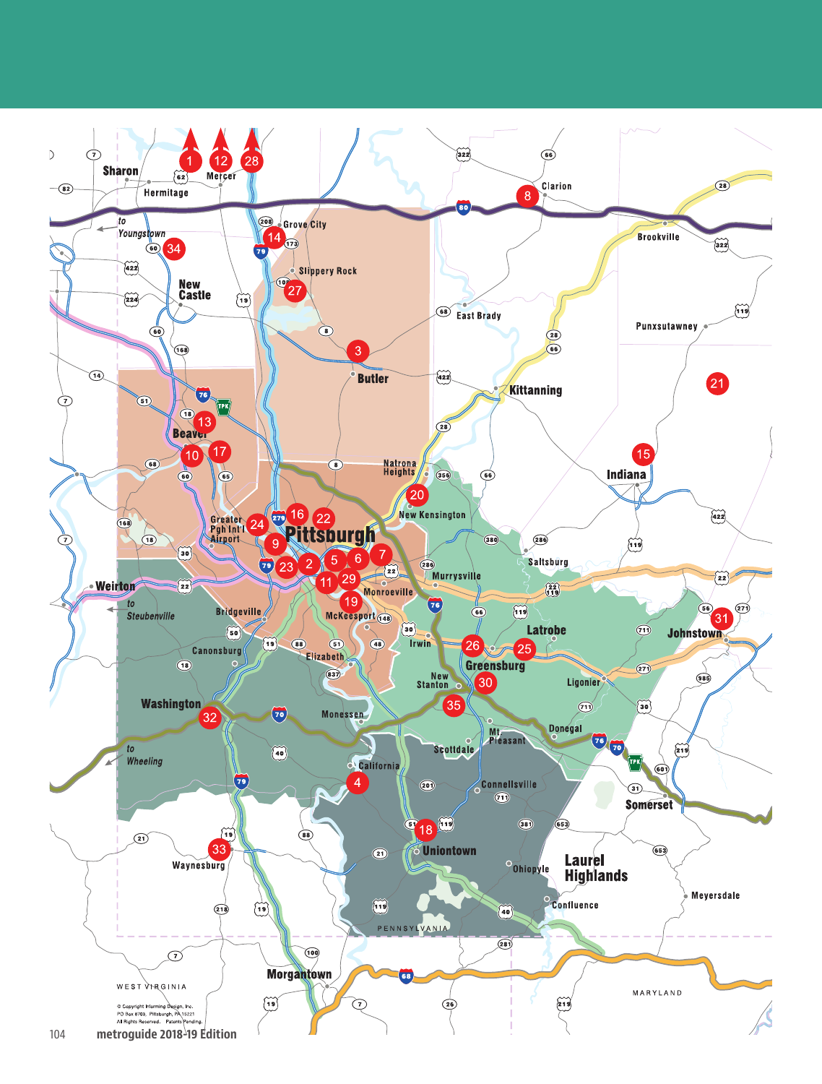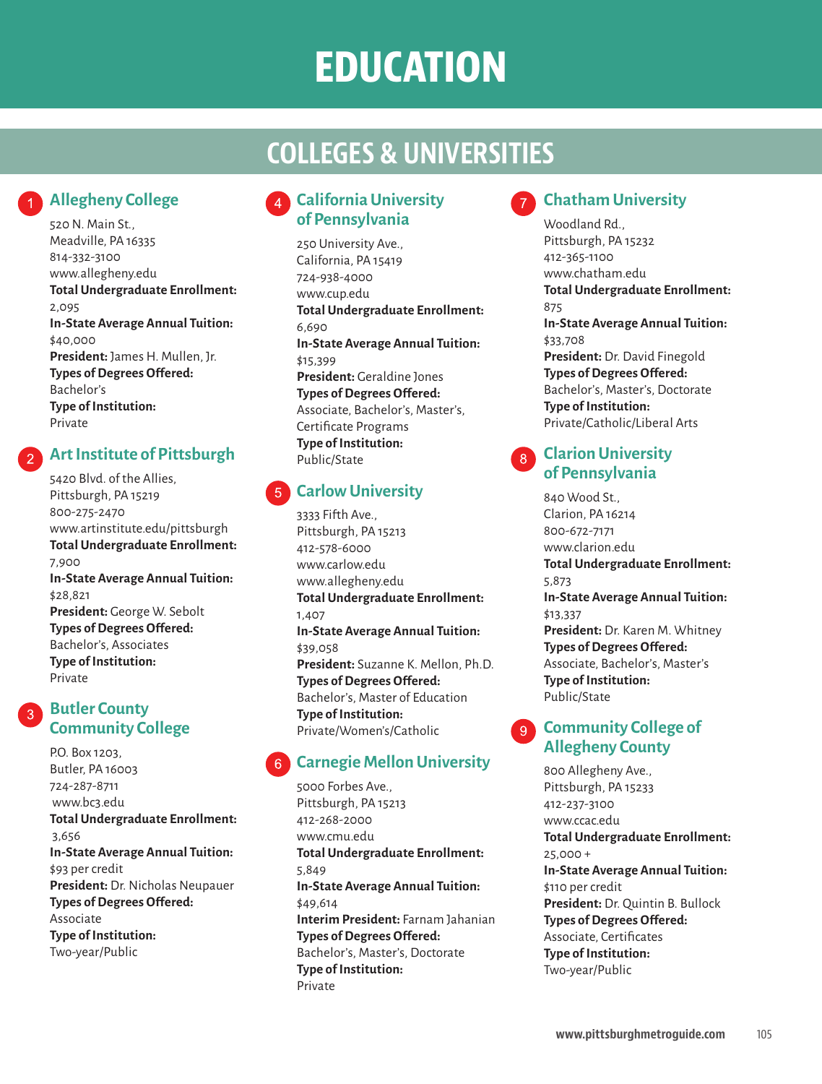# **EDUCATION**

### **COLLEGES & UNIVERSITIES**

### **Allegheny College**

520 N. Main St., Meadville, PA 16335 814-332-3100 www.allegheny.edu **Total Undergraduate Enrollment:** 2,095 **In-State Average Annual Tuition:** \$40,000 **President:** James H. Mullen, Jr. **Types of Degrees Offered:** Bachelor's **Type of Institution:** Private

### **Art Institute of Pittsburgh**

5420 Blvd. of the Allies, Pittsburgh, PA 15219 800-275-2470 www.artinstitute.edu/pittsburgh **Total Undergraduate Enrollment:** 7,900 **In-State Average Annual Tuition:** \$28,821 **President:** George W. Sebolt **Types of Degrees Offered:** Bachelor's, Associates **Type of Institution:** Private

### **Butler County Community College**

P.O. Box 1203, Butler, PA 16003 724-287-8711 www.bc3.edu **Total Undergraduate Enrollment:** 3,656 **In-State Average Annual Tuition:** \$93 per credit **President:** Dr. Nicholas Neupauer **Types of Degrees Offered:** Associate **Type of Institution:** Two-year/Public

### **California University of Pennsylvania**

250 University Ave., California, PA 15419 724-938-4000 www.cup.edu **Total Undergraduate Enrollment:** 6,690 **In-State Average Annual Tuition:** \$15,399 **President:** Geraldine Jones **Types of Degrees Offered:** Associate, Bachelor's, Master's, Certificate Programs **Type of Institution:** Public/State

#### **Carlow University**  $5^{\circ}$

3333 Fifth Ave., Pittsburgh, PA 15213 412-578-6000 www.carlow.edu www.allegheny.edu **Total Undergraduate Enrollment:** 1,407 **In-State Average Annual Tuition:** \$39,058 **President:** Suzanne K. Mellon, Ph.D. **Types of Degrees Offered:** Bachelor's, Master of Education **Type of Institution:** Private/Women's/Catholic

### **Carnegie Mellon University**

5000 Forbes Ave., Pittsburgh, PA 15213 412-268-2000 www.cmu.edu **Total Undergraduate Enrollment:** 5,849 **In-State Average Annual Tuition:** \$49,614 **Interim President:** Farnam Jahanian **Types of Degrees Offered:** Bachelor's, Master's, Doctorate **Type of Institution:** Private

### **Chatham University**

Woodland Rd., Pittsburgh, PA 15232 412-365-1100 www.chatham.edu **Total Undergraduate Enrollment:** 875 **In-State Average Annual Tuition:** \$33,708 **President:** Dr. David Finegold **Types of Degrees Offered:** Bachelor's, Master's, Doctorate **Type of Institution:** Private/Catholic/Liberal Arts

#### **Clarion University**  8 **of Pennsylvania**

840 Wood St., Clarion, PA 16214 800-672-7171 www.clarion.edu **Total Undergraduate Enrollment:** 5,873 **In-State Average Annual Tuition:** \$13,337 **President:** Dr. Karen M. Whitney **Types of Degrees Offered:** Associate, Bachelor's, Master's **Type of Institution:** Public/State

### **Q** Community College of **Allegheny County**

800 Allegheny Ave., Pittsburgh, PA 15233 412-237-3100 www.ccac.edu **Total Undergraduate Enrollment:** 25,000 + **In-State Average Annual Tuition:** \$110 per credit **President:** Dr. Quintin B. Bullock **Types of Degrees Offered:** Associate, Certificates **Type of Institution:** Two-year/Public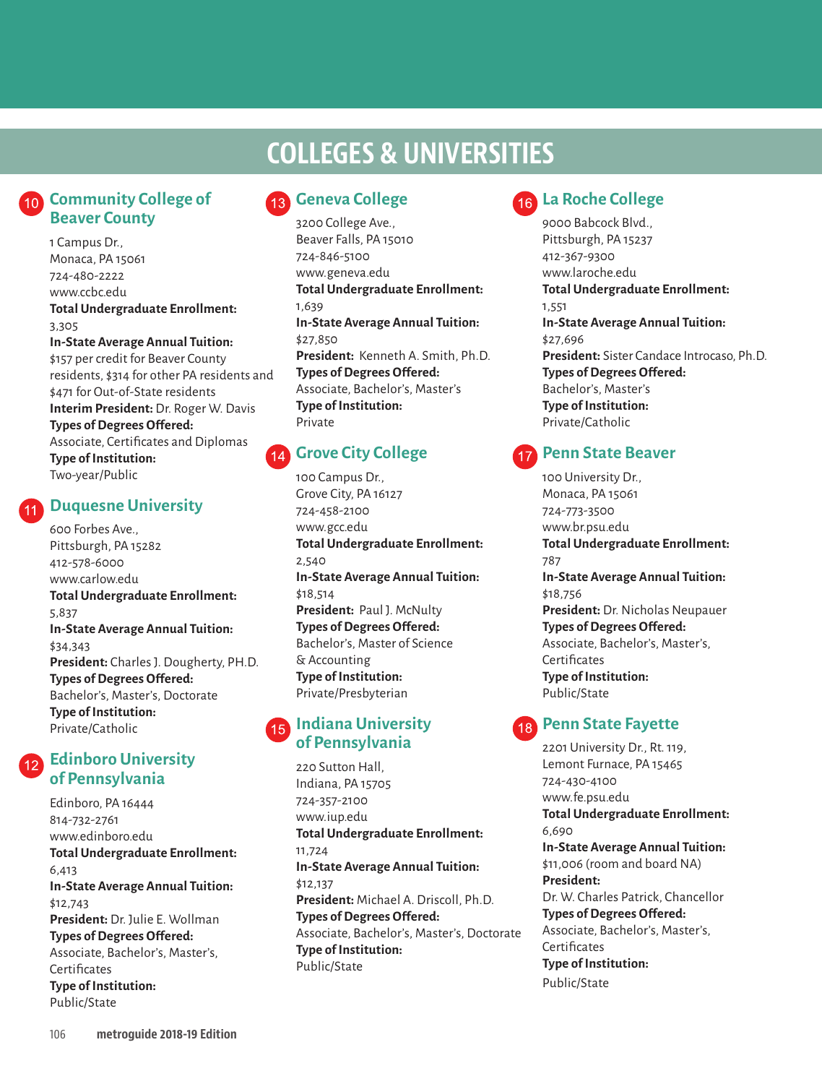## **COLLEGES & UNIVERSITIES COLLEGES & UNIVERSITIES**

### **Community College of Beaver County**

1 Campus Dr., Monaca, PA 15061 724-480-2222 www.ccbc.edu **Total Undergraduate Enrollment:** 3,305 **In-State Average Annual Tuition:** \$157 per credit for Beaver County

residents, \$314 for other PA residents and \$471 for Out-of-State residents **Interim President:** Dr. Roger W. Davis **Types of Degrees Offered:** Associate, Certificates and Diplomas

**Type of Institution:** Two-year/Public

### **Duquesne University**

600 Forbes Ave., Pittsburgh, PA 15282 412-578-6000 www.carlow.edu **Total Undergraduate Enrollment:** 5,837 **In-State Average Annual Tuition:** \$34,343 **President:** Charles J. Dougherty, PH.D. **Types of Degrees Offered:** Bachelor's, Master's, Doctorate **Type of Institution:** Private/Catholic

### **Edinboro University of Pennsylvania**

Edinboro, PA 16444 814-732-2761 www.edinboro.edu **Total Undergraduate Enrollment:** 6,413 **In-State Average Annual Tuition:** \$12,743 **President:** Dr. Julie E. Wollman **Types of Degrees Offered:** Associate, Bachelor's, Master's, **Certificates Type of Institution:** Public/State

### **Geneva College**

3200 College Ave., Beaver Falls, PA 15010 724-846-5100 www.geneva.edu **Total Undergraduate Enrollment:** 1,639 **In-State Average Annual Tuition:** \$27,850 **President:** Kenneth A. Smith, Ph.D. **Types of Degrees Offered:** Associate, Bachelor's, Master's **Type of Institution:** Private

### **Grove City College**

100 Campus Dr., Grove City, PA 16127 724-458-2100 www.gcc.edu **Total Undergraduate Enrollment:** 2,540 **In-State Average Annual Tuition:** \$18,514 **President: Paul J. McNulty Types of Degrees Offered:** Bachelor's, Master of Science & Accounting **Type of Institution:** Private/Presbyterian

### **Indiana University of Pennsylvania**

220 Sutton Hall, Indiana, PA 15705 724-357-2100 www.iup.edu **Total Undergraduate Enrollment:** 11,724 **In-State Average Annual Tuition:** \$12,137 **President:** Michael A. Driscoll, Ph.D. **Types of Degrees Offered:** Associate, Bachelor's, Master's, Doctorate **Type of Institution:** Public/State

### **La Roche College**

9000 Babcock Blvd., Pittsburgh, PA 15237 412-367-9300 www.laroche.edu **Total Undergraduate Enrollment:** 1,551 **In-State Average Annual Tuition:** \$27,696 **President:** Sister Candace Introcaso, Ph.D. **Types of Degrees Offered:** Bachelor's, Master's **Type of Institution:** Private/Catholic

### **Penn State Beaver**

100 University Dr., Monaca, PA 15061 724-773-3500 www.br.psu.edu **Total Undergraduate Enrollment:** 787 **In-State Average Annual Tuition:** \$18,756 **President:** Dr. Nicholas Neupauer **Types of Degrees Offered:** Associate, Bachelor's, Master's, **Certificates Type of Institution:** Public/State

### **Penn State Fayette**

2201 University Dr., Rt. 119, Lemont Furnace, PA 15465 724-430-4100 www.fe.psu.edu **Total Undergraduate Enrollment:** 6,690 **In-State Average Annual Tuition:** \$11,006 (room and board NA) **President:** Dr. W. Charles Patrick, Chancellor **Types of Degrees Offered:** Associate, Bachelor's, Master's, **Certificates Type of Institution:** Public/State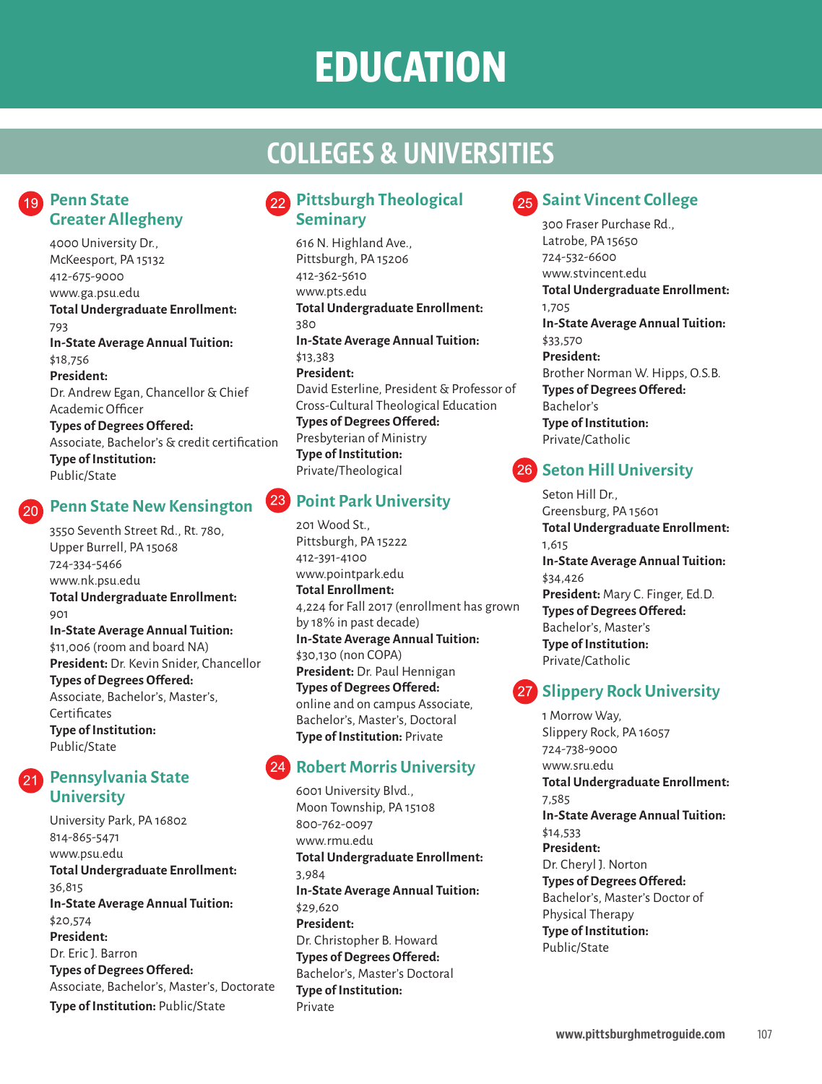# **EDUCATION**

## **COLLEGES & UNIVERSITIES**

### **Penn State Greater Allegheny**

4000 University Dr., McKeesport, PA 15132 412-675-9000 www.ga.psu.edu **Total Undergraduate Enrollment:** 793 **In-State Average Annual Tuition:** \$18,756 **President:** Dr. Andrew Egan, Chancellor & Chief Academic Officer **Types of Degrees Offered:** Associate, Bachelor's & credit certification **Type of Institution:** Public/State

### **Penn State New Kensington**

3550 Seventh Street Rd., Rt. 780, Upper Burrell, PA 15068 724-334-5466 www.nk.psu.edu **Total Undergraduate Enrollment:** 901 **In-State Average Annual Tuition:** \$11,006 (room and board NA) **President:** Dr. Kevin Snider, Chancellor **Types of Degrees Offered:** Associate, Bachelor's, Master's, **Certificates Type of Institution:** Public/State

### **Pennsylvania State University**

University Park, PA 16802 814-865-5471 www.psu.edu **Total Undergraduate Enrollment:** 36,815 **In-State Average Annual Tuition:** \$20,574 **President:** Dr. Eric J. Barron **Types of Degrees Offered:** Associate, Bachelor's, Master's, Doctorate **Type of Institution:** Public/State

### **22** Pittsburgh Theological **Seminary**

616 N. Highland Ave., Pittsburgh, PA 15206 412-362-5610 www.pts.edu **Total Undergraduate Enrollment:** 380 **In-State Average Annual Tuition:** \$13,383 **President:** David Esterline, President & Professor of Cross-Cultural Theological Education **Types of Degrees Offered:** Presbyterian of Ministry **Type of Institution:** Private/Theological

### **23** Point Park University

201 Wood St., Pittsburgh, PA 15222 412-391-4100 www.pointpark.edu **Total Enrollment:** 4,224 for Fall 2017 (enrollment has grown by 18% in past decade) **In-State Average Annual Tuition:** \$30,130 (non COPA) **President:** Dr. Paul Hennigan **Types of Degrees Offered:** online and on campus Associate, Bachelor's, Master's, Doctoral **Type of Institution:** Private

### **Robert Morris University**

6001 University Blvd., Moon Township, PA 15108 800-762-0097 www.rmu.edu **Total Undergraduate Enrollment:** 3,984 **In-State Average Annual Tuition:** \$29,620 **President:** Dr. Christopher B. Howard **Types of Degrees Offered:** Bachelor's, Master's Doctoral **Type of Institution:** Private

### **25 Saint Vincent College**

300 Fraser Purchase Rd., Latrobe, PA 15650 724-532-6600 www.stvincent.edu **Total Undergraduate Enrollment:** 1,705 **In-State Average Annual Tuition:** \$33,570 **President:** Brother Norman W. Hipps, O.S.B. **Types of Degrees Offered:** Bachelor's **Type of Institution:** Private/Catholic

### **26 Seton Hill University**

Seton Hill Dr., Greensburg, PA 15601 **Total Undergraduate Enrollment:** 1,615 **In-State Average Annual Tuition:** \$34,426 **President:** Mary C. Finger, Ed.D. **Types of Degrees Offered:** Bachelor's, Master's **Type of Institution:** Private/Catholic

### **27 Slippery Rock University**

1 Morrow Way, Slippery Rock, PA 16057 724-738-9000 www.sru.edu **Total Undergraduate Enrollment:** 7,585 **In-State Average Annual Tuition:** \$14,533 **President:** Dr. Cheryl J. Norton **Types of Degrees Offered:** Bachelor's, Master's Doctor of Physical Therapy **Type of Institution:**

Public/State